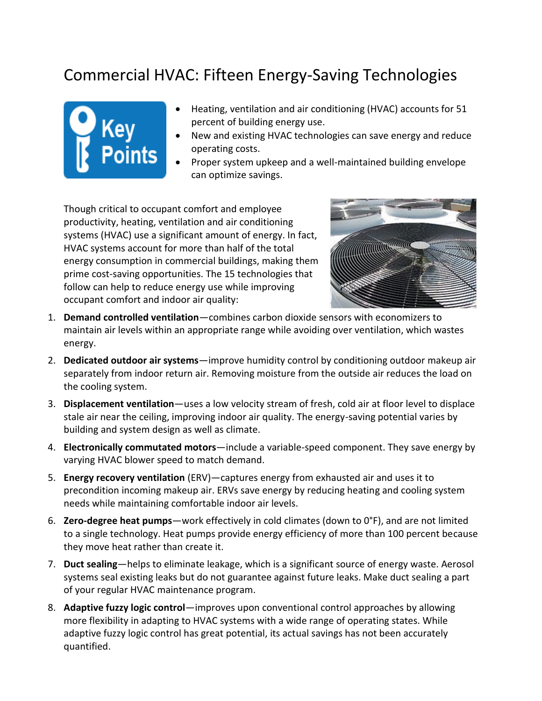## Commercial HVAC: Fifteen Energy-Saving Technologies



- Heating, ventilation and air conditioning (HVAC) accounts for 51 percent of building energy use.
- New and existing HVAC technologies can save energy and reduce operating costs.
- Proper system upkeep and a well-maintained building envelope can optimize savings.

Though critical to occupant comfort and employee productivity, heating, ventilation and air conditioning systems (HVAC) use a significant amount of energy. In fact, HVAC systems account for more than half of the total energy consumption in commercial buildings, making them prime cost-saving opportunities. The 15 technologies that follow can help to reduce energy use while improving occupant comfort and indoor air quality:



- 1. **Demand controlled ventilation**—combines carbon dioxide sensors with economizers to maintain air levels within an appropriate range while avoiding over ventilation, which wastes energy.
- 2. **Dedicated outdoor air systems**—improve humidity control by conditioning outdoor makeup air separately from indoor return air. Removing moisture from the outside air reduces the load on the cooling system.
- 3. **Displacement ventilation**—uses a low velocity stream of fresh, cold air at floor level to displace stale air near the ceiling, improving indoor air quality. The energy-saving potential varies by building and system design as well as climate.
- 4. **Electronically commutated motors**—include a variable-speed component. They save energy by varying HVAC blower speed to match demand.
- 5. **Energy recovery ventilation** (ERV)—captures energy from exhausted air and uses it to precondition incoming makeup air. ERVs save energy by reducing heating and cooling system needs while maintaining comfortable indoor air levels.
- 6. **Zero-degree heat pumps**—work effectively in cold climates (down to 0°F), and are not limited to a single technology. Heat pumps provide energy efficiency of more than 100 percent because they move heat rather than create it.
- 7. **Duct sealing**—helps to eliminate leakage, which is a significant source of energy waste. Aerosol systems seal existing leaks but do not guarantee against future leaks. Make duct sealing a part of your regular HVAC maintenance program.
- 8. **Adaptive fuzzy logic control**—improves upon conventional control approaches by allowing more flexibility in adapting to HVAC systems with a wide range of operating states. While adaptive fuzzy logic control has great potential, its actual savings has not been accurately quantified.